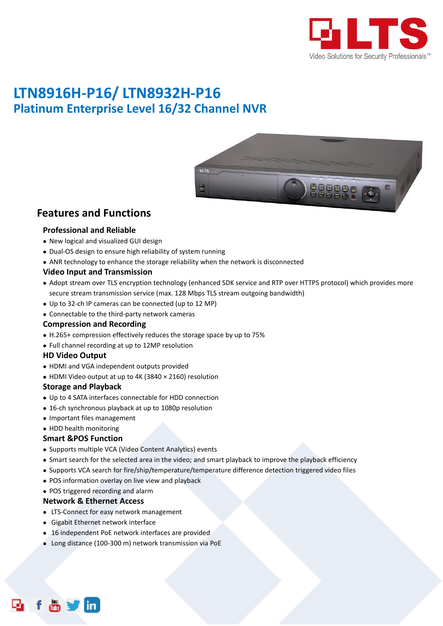

# **LTN8916H-P16/ LTN8932H-P16 Platinum Enterprise Level 16/32 Channel NVR**



### **Features and Functions**

#### **Professional and Reliable**

- New logical and visualized GUI design
- Dual-OS design to ensure high reliability of system running
- ANR technology to enhance the storage reliability when the network is disconnected

#### **Video Input and Transmission**

- Adopt stream over TLS encryption technology (enhanced SDK service and RTP over HTTPS protocol) which provides more secure stream transmission service (max. 128 Mbps TLS stream outgoing bandwidth)
- Up to 32-ch IP cameras can be connected (up to 12 MP)
- Connectable to the third-party network cameras

#### **Compression and Recording**

- H.265+ compression effectively reduces the storage space by up to 75%
- Full channel recording at up to 12MP resolution

#### **HD Video Output**

- HDMI and VGA independent outputs provided
- HDMI Video output at up to 4K (3840 × 2160) resolution

#### **Storage and Playback**

- Up to 4 SATA interfaces connectable for HDD connection
- 16-ch synchronous playback at up to 1080p resolution
- Important files management
- HDD health monitoring

#### **Smart &POS Function**

- Supports multiple VCA (Video Content Analytics) events
- Smart search for the selected area in the video; and smart playback to improve the playback efficiency
- Supports VCA search for fire/ship/temperature/temperature difference detection triggered video files
- POS information overlay on live view and playback
- POS triggered recording and alarm

#### **Network & Ethernet Access**

- LTS-Connect for easy network management
- Gigabit Ethernet network interface
- 16 independent PoE network interfaces are provided
- Long distance (100-300 m) network transmission via PoE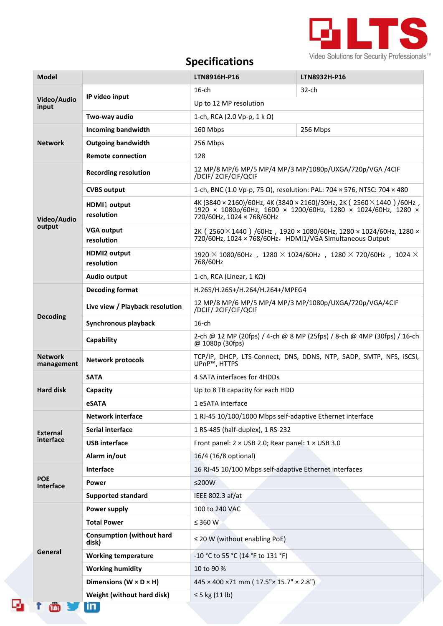

## **Specifications**

| <b>Model</b>                 |                                           | LTN8916H-P16                                                                                                                                                        | LTN8932H-P16 |  |
|------------------------------|-------------------------------------------|---------------------------------------------------------------------------------------------------------------------------------------------------------------------|--------------|--|
| Video/Audio<br>input         |                                           | $16$ -ch                                                                                                                                                            | 32-ch        |  |
|                              | IP video input                            | Up to 12 MP resolution                                                                                                                                              |              |  |
|                              | Two-way audio                             | 1-ch, RCA (2.0 Vp-p, 1 k Ω)                                                                                                                                         |              |  |
| <b>Network</b>               | <b>Incoming bandwidth</b>                 | 160 Mbps                                                                                                                                                            | 256 Mbps     |  |
|                              | <b>Outgoing bandwidth</b>                 | 256 Mbps                                                                                                                                                            |              |  |
|                              | <b>Remote connection</b>                  | 128                                                                                                                                                                 |              |  |
| Video/Audio<br>output        | <b>Recording resolution</b>               | 12 MP/8 MP/6 MP/5 MP/4 MP/3 MP/1080p/UXGA/720p/VGA /4CIF<br>/DCIF/2CIF/CIF/QCIF                                                                                     |              |  |
|                              | <b>CVBS output</b>                        | 1-ch, BNC (1.0 Vp-p, 75 Ω), resolution: PAL: 704 × 576, NTSC: 704 × 480                                                                                             |              |  |
|                              | HDMI1 output<br>resolution                | 4K (3840 × 2160)/60Hz, 4K (3840 × 2160)/30Hz, 2K (2560 × 1440) /60Hz,<br>1920 × 1080p/60Hz, 1600 × 1200/60Hz, 1280 × 1024/60Hz, 1280 ×<br>720/60Hz, 1024 × 768/60Hz |              |  |
|                              | <b>VGA output</b><br>resolution           | 2K (2560 $\times$ 1440) /60Hz, 1920 $\times$ 1080/60Hz, 1280 $\times$ 1024/60Hz, 1280 $\times$<br>720/60Hz, 1024 × 768/60Hz, HDMI1/VGA Simultaneous Output          |              |  |
|                              | <b>HDMI2 output</b><br>resolution         | $1920 \times 1080/60$ Hz, $1280 \times 1024/60$ Hz, $1280 \times 720/60$ Hz, $1024 \times$<br>768/60Hz                                                              |              |  |
|                              | Audio output                              | 1-ch, RCA (Linear, $1 K\Omega$ )                                                                                                                                    |              |  |
| <b>Decoding</b>              | <b>Decoding format</b>                    | H.265/H.265+/H.264/H.264+/MPEG4                                                                                                                                     |              |  |
|                              | Live view / Playback resolution           | 12 MP/8 MP/6 MP/5 MP/4 MP/3 MP/1080p/UXGA/720p/VGA/4CIF<br>/DCIF/2CIF/CIF/QCIF                                                                                      |              |  |
|                              | Synchronous playback                      | $16$ -ch                                                                                                                                                            |              |  |
|                              | Capability                                | 2-ch @ 12 MP (20fps) / 4-ch @ 8 MP (25fps) / 8-ch @ 4MP (30fps) / 16-ch<br>@ 1080p (30fps)                                                                          |              |  |
| <b>Network</b><br>management | <b>Network protocols</b>                  | TCP/IP, DHCP, LTS-Connect, DNS, DDNS, NTP, SADP, SMTP, NFS, iSCSI,<br>UPnP <sup>™</sup> , HTTPS                                                                     |              |  |
|                              | <b>SATA</b>                               | 4 SATA interfaces for 4HDDs                                                                                                                                         |              |  |
| <b>Hard disk</b>             | Capacity                                  | Up to 8 TB capacity for each HDD                                                                                                                                    |              |  |
|                              | eSATA                                     | 1 eSATA interface                                                                                                                                                   |              |  |
| <b>External</b><br>interface | <b>Network interface</b>                  | 1 RJ-45 10/100/1000 Mbps self-adaptive Ethernet interface                                                                                                           |              |  |
|                              | Serial interface                          | 1 RS-485 (half-duplex), 1 RS-232                                                                                                                                    |              |  |
|                              | <b>USB</b> interface                      | Front panel: 2 × USB 2.0; Rear panel: 1 × USB 3.0                                                                                                                   |              |  |
|                              | Alarm in/out                              | 16/4 (16/8 optional)                                                                                                                                                |              |  |
| <b>POE</b><br>Interface      | Interface                                 | 16 RJ-45 10/100 Mbps self-adaptive Ethernet interfaces                                                                                                              |              |  |
|                              | Power                                     | $≤200W$                                                                                                                                                             |              |  |
|                              | <b>Supported standard</b>                 | IEEE 802.3 af/at                                                                                                                                                    |              |  |
|                              | <b>Power supply</b>                       | 100 to 240 VAC                                                                                                                                                      |              |  |
|                              | <b>Total Power</b>                        | ≤ 360 W                                                                                                                                                             |              |  |
| General                      | <b>Consumption (without hard</b><br>disk) | $\leq$ 20 W (without enabling PoE)                                                                                                                                  |              |  |
|                              | <b>Working temperature</b>                | -10 °C to 55 °C (14 °F to 131 °F)                                                                                                                                   |              |  |
|                              | <b>Working humidity</b>                   | 10 to 90 %                                                                                                                                                          |              |  |
|                              | Dimensions ( $W \times D \times H$ )      | $445 \times 400 \times 71$ mm ( $17.5$ " $\times$ 15.7" $\times$ 2.8")                                                                                              |              |  |
|                              | Weight (without hard disk)                | $\leq$ 5 kg (11 lb)                                                                                                                                                 |              |  |
| Tubel                        | in.                                       |                                                                                                                                                                     |              |  |